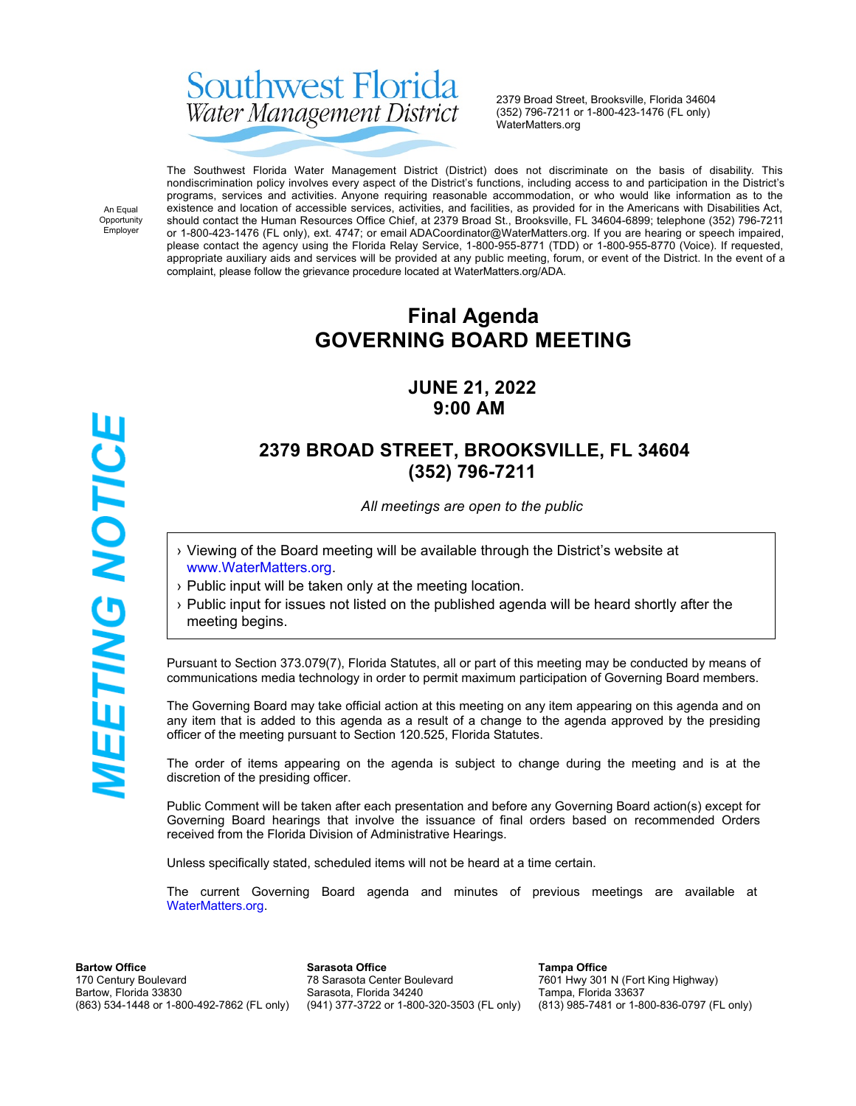# Southwest Florida Water Management District

2379 Broad Street, Brooksville, Florida 34604 (352) 796-7211 or 1-800-423-1476 (FL only) WaterMatters.org

An Equal Opportunity Employer

The Southwest Florida Water Management District (District) does not discriminate on the basis of disability. This nondiscrimination policy involves every aspect of the District's functions, including access to and participation in the District's programs, services and activities. Anyone requiring reasonable accommodation, or who would like information as to the existence and location of accessible services, activities, and facilities, as provided for in the Americans with Disabilities Act, should contact the Human Resources Office Chief, at 2379 Broad St., Brooksville, FL 34604-6899; telephone (352) 796-7211 or 1-800-423-1476 (FL only), ext. 4747; or email ADACoordinator@WaterMatters.org. If you are hearing or speech impaired, please contact the agency using the Florida Relay Service, 1-800-955-8771 (TDD) or 1-800-955-8770 (Voice). If requested, appropriate auxiliary aids and services will be provided at any public meeting, forum, or event of the District. In the event of a complaint, please follow the grievance procedure located at WaterMatters.org/ADA.

# **Final Agenda GOVERNING BOARD MEETING**

### **JUNE 21, 2022 9:00 AM**

## **2379 BROAD STREET, BROOKSVILLE, FL 34604 (352) 796-7211**

*All meetings are open to the public*

- › Viewing of the Board meeting will be available through the District's website at [www.WaterMatters.org](https://www.watermatters.org/).
- › Public input will be taken only at the meeting location.
- › Public input for issues not listed on the published agenda will be heard shortly after the meeting begins.

Pursuant to Section 373.079(7), Florida Statutes, all or part of this meeting may be conducted by means of communications media technology in order to permit maximum participation of Governing Board members.

The Governing Board may take official action at this meeting on any item appearing on this agenda and on any item that is added to this agenda as a result of a change to the agenda approved by the presiding officer of the meeting pursuant to Section 120.525, Florida Statutes.

The order of items appearing on the agenda is subject to change during the meeting and is at the discretion of the presiding officer.

Public Comment will be taken after each presentation and before any Governing Board action(s) except for Governing Board hearings that involve the issuance of final orders based on recommended Orders received from the Florida Division of Administrative Hearings.

Unless specifically stated, scheduled items will not be heard at a time certain.

The current Governing Board agenda and minutes of previous meetings are available at [WaterMatters.org](https://www.watermatters.org).

**Bartow Office** 170 Century Boulevard Bartow, Florida 33830 (863) 534-1448 or 1-800-492-7862 (FL only)

**Sarasota Office** 78 Sarasota Center Boulevard Sarasota, Florida 34240 (941) 377-3722 or 1-800-320-3503 (FL only)

**Tampa Office** 7601 Hwy 301 N (Fort King Highway) Tampa, Florida 33637 (813) 985-7481 or 1-800-836-0797 (FL only)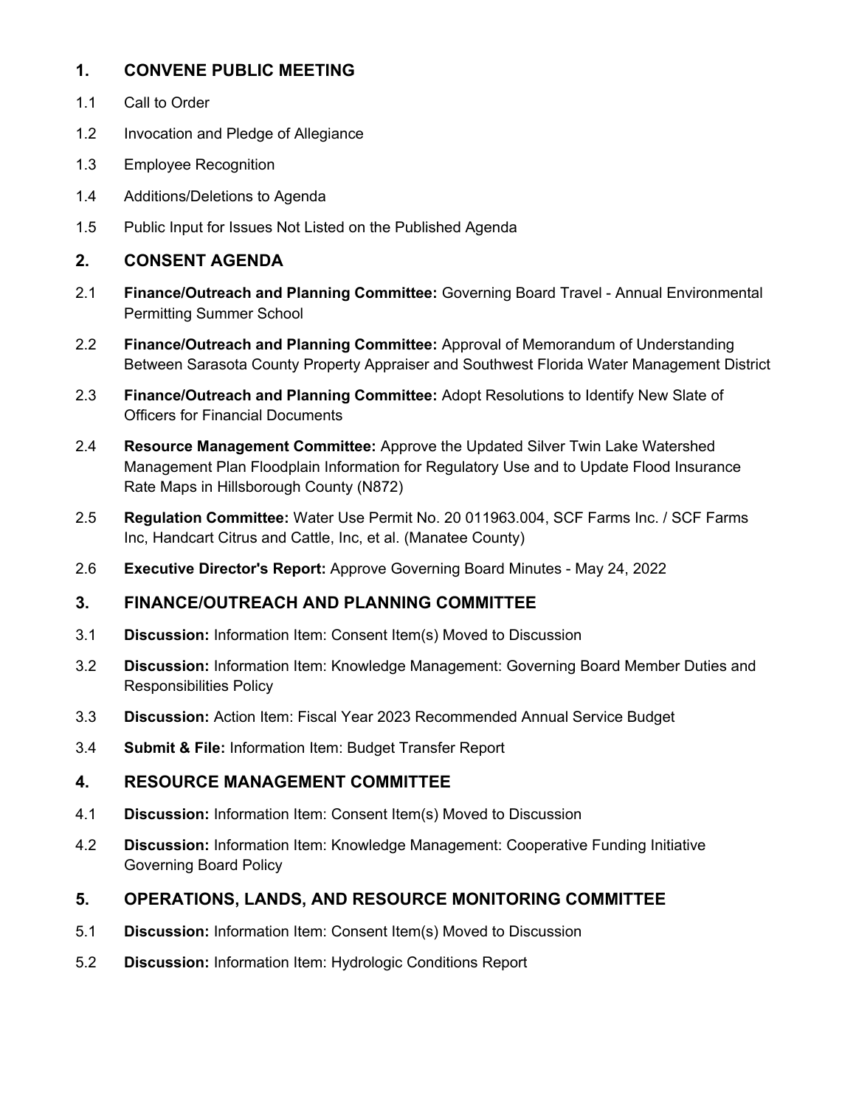#### **1. CONVENE PUBLIC MEETING**

- 1.1 Call to Order
- 1.2 Invocation and Pledge of Allegiance
- 1.3 Employee Recognition
- 1.4 Additions/Deletions to Agenda
- 1.5 Public Input for Issues Not Listed on the Published Agenda

#### **2. CONSENT AGENDA**

- 2.1 **Finance/Outreach and Planning Committee:** Governing Board Travel Annual Environmental Permitting Summer School
- 2.2 **Finance/Outreach and Planning Committee:** Approval of Memorandum of Understanding Between Sarasota County Property Appraiser and Southwest Florida Water Management District
- 2.3 **Finance/Outreach and Planning Committee:** Adopt Resolutions to Identify New Slate of Officers for Financial Documents
- 2.4 **Resource Management Committee:** Approve the Updated Silver Twin Lake Watershed Management Plan Floodplain Information for Regulatory Use and to Update Flood Insurance Rate Maps in Hillsborough County (N872)
- 2.5 **Regulation Committee:** Water Use Permit No. 20 011963.004, SCF Farms Inc. / SCF Farms Inc, Handcart Citrus and Cattle, Inc, et al. (Manatee County)
- 2.6 **Executive Director's Report:** Approve Governing Board Minutes May 24, 2022

#### **3. FINANCE/OUTREACH AND PLANNING COMMITTEE**

- 3.1 **Discussion:** Information Item: Consent Item(s) Moved to Discussion
- 3.2 **Discussion:** Information Item: Knowledge Management: Governing Board Member Duties and Responsibilities Policy
- 3.3 **Discussion:** Action Item: Fiscal Year 2023 Recommended Annual Service Budget
- 3.4 **Submit & File:** Information Item: Budget Transfer Report

#### **4. RESOURCE MANAGEMENT COMMITTEE**

- 4.1 **Discussion:** Information Item: Consent Item(s) Moved to Discussion
- 4.2 **Discussion:** Information Item: Knowledge Management: Cooperative Funding Initiative Governing Board Policy

#### **5. OPERATIONS, LANDS, AND RESOURCE MONITORING COMMITTEE**

- 5.1 **Discussion:** Information Item: Consent Item(s) Moved to Discussion
- 5.2 **Discussion:** Information Item: Hydrologic Conditions Report